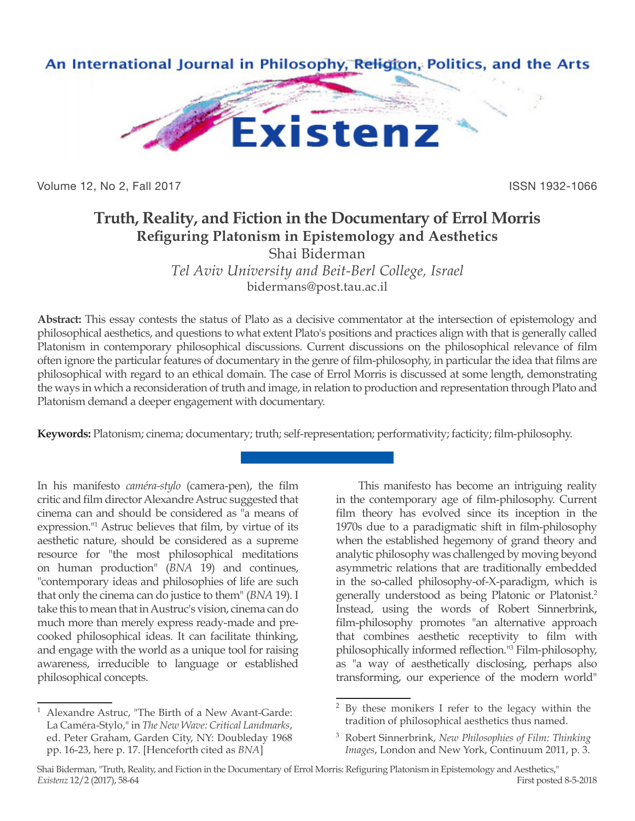

Volume 12, No 2, Fall 2017 **ISSN 1932-1066** 

## **Truth, Reality, and Fiction in the Documentary of Errol Morris Refiguring Platonism in Epistemology and Aesthetics**

Shai Biderman

*Tel Aviv University and Beit-Berl College, Israel* bidermans@post.tau.ac.il

**Abstract:** This essay contests the status of Plato as a decisive commentator at the intersection of epistemology and philosophical aesthetics, and questions to what extent Plato's positions and practices align with that is generally called Platonism in contemporary philosophical discussions. Current discussions on the philosophical relevance of film often ignore the particular features of documentary in the genre of film-philosophy, in particular the idea that films are philosophical with regard to an ethical domain. The case of Errol Morris is discussed at some length, demonstrating the ways in which a reconsideration of truth and image, in relation to production and representation through Plato and Platonism demand a deeper engagement with documentary.

**Keywords:** Platonism; cinema; documentary; truth; self-representation; performativity; facticity; film-philosophy.

In his manifesto *caméra-stylo* (camera-pen), the film critic and film director Alexandre Astruc suggested that cinema can and should be considered as "a means of expression."<sup>1</sup> Astruc believes that film, by virtue of its aesthetic nature, should be considered as a supreme resource for "the most philosophical meditations on human production" (*BNA* 19) and continues, "contemporary ideas and philosophies of life are such that only the cinema can do justice to them" (*BNA* 19). I take this to mean that in Austruc's vision, cinema can do much more than merely express ready-made and precooked philosophical ideas. It can facilitate thinking, and engage with the world as a unique tool for raising awareness, irreducible to language or established philosophical concepts.

<sup>1</sup> Alexandre Astruc, "The Birth of a New Avant-Garde: La Caméra-Stylo," in *The New Wave: Critical Landmarks*, ed. Peter Graham, Garden City, NY: Doubleday 1968 pp. 16-23, here p. 17. [Henceforth cited as *BNA*]

This manifesto has become an intriguing reality in the contemporary age of film-philosophy. Current film theory has evolved since its inception in the 1970s due to a paradigmatic shift in film-philosophy when the established hegemony of grand theory and analytic philosophy was challenged by moving beyond asymmetric relations that are traditionally embedded in the so-called philosophy-of-X-paradigm, which is generally understood as being Platonic or Platonist.2 Instead, using the words of Robert Sinnerbrink, film-philosophy promotes "an alternative approach that combines aesthetic receptivity to film with philosophically informed reflection."<sup>3</sup> Film-philosophy, as "a way of aesthetically disclosing, perhaps also transforming, our experience of the modern world"

<sup>2</sup> By these monikers I refer to the legacy within the tradition of philosophical aesthetics thus named.

<sup>3</sup> Robert Sinnerbrink, *New Philosophies of Film: Thinking Images*, London and New York, Continuum 2011, p. 3.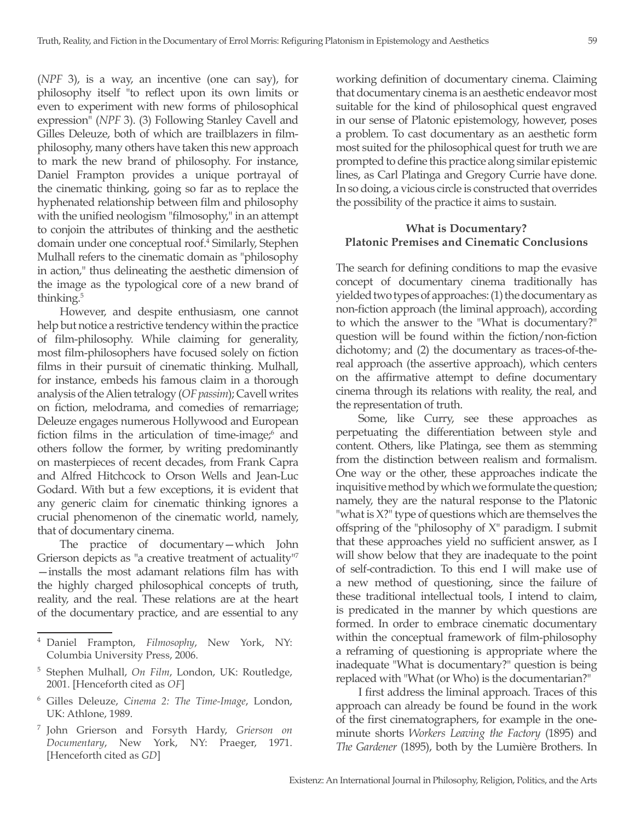(*NPF* 3), is a way, an incentive (one can say), for philosophy itself "to reflect upon its own limits or even to experiment with new forms of philosophical expression" (*NPF* 3). (3) Following Stanley Cavell and Gilles Deleuze, both of which are trailblazers in filmphilosophy, many others have taken this new approach to mark the new brand of philosophy. For instance, Daniel Frampton provides a unique portrayal of the cinematic thinking, going so far as to replace the hyphenated relationship between film and philosophy with the unified neologism "filmosophy," in an attempt to conjoin the attributes of thinking and the aesthetic domain under one conceptual roof.<sup>4</sup> Similarly, Stephen Mulhall refers to the cinematic domain as "philosophy in action," thus delineating the aesthetic dimension of the image as the typological core of a new brand of thinking.<sup>5</sup>

However, and despite enthusiasm, one cannot help but notice a restrictive tendency within the practice of film-philosophy. While claiming for generality, most film-philosophers have focused solely on fiction films in their pursuit of cinematic thinking. Mulhall, for instance, embeds his famous claim in a thorough analysis of the Alien tetralogy (*OF passim*); Cavell writes on fiction, melodrama, and comedies of remarriage; Deleuze engages numerous Hollywood and European fiction films in the articulation of time-image; and others follow the former, by writing predominantly on masterpieces of recent decades, from Frank Capra and Alfred Hitchcock to Orson Wells and Jean-Luc Godard. With but a few exceptions, it is evident that any generic claim for cinematic thinking ignores a crucial phenomenon of the cinematic world, namely, that of documentary cinema.

The practice of documentary—which John Grierson depicts as "a creative treatment of actuality"7 —installs the most adamant relations film has with the highly charged philosophical concepts of truth, reality, and the real. These relations are at the heart of the documentary practice, and are essential to any working definition of documentary cinema. Claiming that documentary cinema is an aesthetic endeavor most suitable for the kind of philosophical quest engraved in our sense of Platonic epistemology, however, poses a problem. To cast documentary as an aesthetic form most suited for the philosophical quest for truth we are prompted to define this practice along similar epistemic lines, as Carl Platinga and Gregory Currie have done. In so doing, a vicious circle is constructed that overrides the possibility of the practice it aims to sustain.

## **What is Documentary? Platonic Premises and Cinematic Conclusions**

The search for defining conditions to map the evasive concept of documentary cinema traditionally has yielded two types of approaches: (1) the documentary as non-fiction approach (the liminal approach), according to which the answer to the "What is documentary?" question will be found within the fiction/non-fiction dichotomy; and (2) the documentary as traces-of-thereal approach (the assertive approach), which centers on the affirmative attempt to define documentary cinema through its relations with reality, the real, and the representation of truth.

Some, like Curry, see these approaches as perpetuating the differentiation between style and content. Others, like Platinga, see them as stemming from the distinction between realism and formalism. One way or the other, these approaches indicate the inquisitive method by which we formulate the question; namely, they are the natural response to the Platonic "what is X?" type of questions which are themselves the offspring of the "philosophy of X" paradigm. I submit that these approaches yield no sufficient answer, as I will show below that they are inadequate to the point of self-contradiction. To this end I will make use of a new method of questioning, since the failure of these traditional intellectual tools, I intend to claim, is predicated in the manner by which questions are formed. In order to embrace cinematic documentary within the conceptual framework of film-philosophy a reframing of questioning is appropriate where the inadequate "What is documentary?" question is being replaced with "What (or Who) is the documentarian?"

I first address the liminal approach. Traces of this approach can already be found be found in the work of the first cinematographers, for example in the oneminute shorts *Workers Leaving the Factory* (1895) and *The Gardener* (1895), both by the Lumière Brothers. In

<sup>4</sup> Daniel Frampton, *Filmosophy*, New York, NY: Columbia University Press, 2006.

<sup>5</sup> Stephen Mulhall, *On Film*, London, UK: Routledge, 2001. [Henceforth cited as *OF*]

<sup>6</sup> Gilles Deleuze, *Cinema 2: The Time-Image*, London, UK: Athlone, 1989.

<sup>7</sup> John Grierson and Forsyth Hardy, *Grierson on Documentary*, New York, NY: Praeger, 1971. [Henceforth cited as *GD*]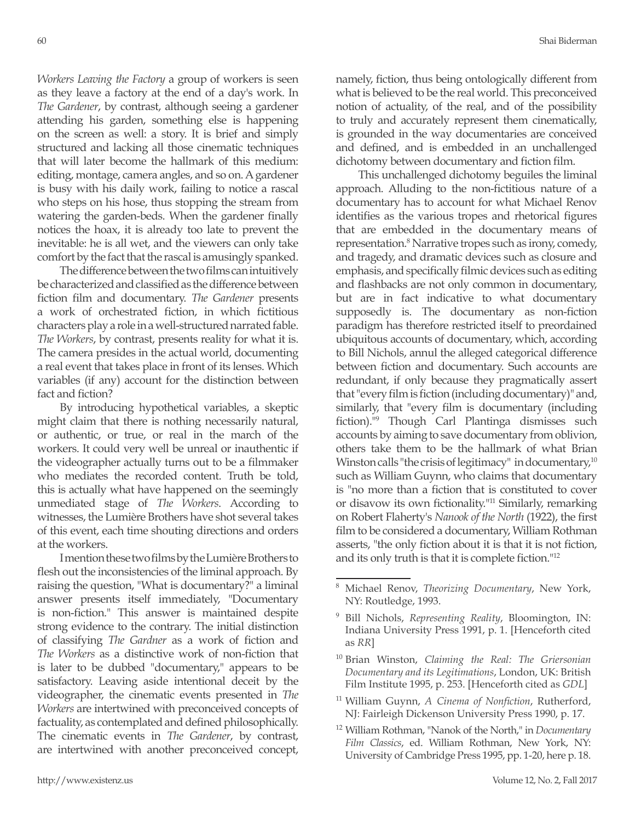*Workers Leaving the Factory* a group of workers is seen as they leave a factory at the end of a day's work. In *The Gardener*, by contrast, although seeing a gardener attending his garden, something else is happening on the screen as well: a story. It is brief and simply structured and lacking all those cinematic techniques that will later become the hallmark of this medium: editing, montage, camera angles, and so on. A gardener is busy with his daily work, failing to notice a rascal who steps on his hose, thus stopping the stream from watering the garden-beds. When the gardener finally notices the hoax, it is already too late to prevent the inevitable: he is all wet, and the viewers can only take comfort by the fact that the rascal is amusingly spanked.

The difference between the two films can intuitively be characterized and classified as the difference between fiction film and documentary. *The Gardener* presents a work of orchestrated fiction, in which fictitious characters play a role in a well-structured narrated fable. *The Workers*, by contrast, presents reality for what it is. The camera presides in the actual world, documenting a real event that takes place in front of its lenses. Which variables (if any) account for the distinction between fact and fiction?

By introducing hypothetical variables, a skeptic might claim that there is nothing necessarily natural, or authentic, or true, or real in the march of the workers. It could very well be unreal or inauthentic if the videographer actually turns out to be a filmmaker who mediates the recorded content. Truth be told, this is actually what have happened on the seemingly unmediated stage of *The Workers*. According to witnesses, the Lumière Brothers have shot several takes of this event, each time shouting directions and orders at the workers.

I mention these two films by the Lumière Brothers to flesh out the inconsistencies of the liminal approach. By raising the question, "What is documentary?" a liminal answer presents itself immediately, "Documentary is non-fiction." This answer is maintained despite strong evidence to the contrary. The initial distinction of classifying *The Gardner* as a work of fiction and *The Workers* as a distinctive work of non-fiction that is later to be dubbed "documentary," appears to be satisfactory. Leaving aside intentional deceit by the videographer, the cinematic events presented in *The Workers* are intertwined with preconceived concepts of factuality, as contemplated and defined philosophically. The cinematic events in *The Gardener*, by contrast, are intertwined with another preconceived concept,

namely, fiction, thus being ontologically different from what is believed to be the real world. This preconceived notion of actuality, of the real, and of the possibility to truly and accurately represent them cinematically, is grounded in the way documentaries are conceived and defined, and is embedded in an unchallenged dichotomy between documentary and fiction film.

This unchallenged dichotomy beguiles the liminal approach. Alluding to the non-fictitious nature of a documentary has to account for what Michael Renov identifies as the various tropes and rhetorical figures that are embedded in the documentary means of representation.<sup>8</sup> Narrative tropes such as irony, comedy, and tragedy, and dramatic devices such as closure and emphasis, and specifically filmic devices such as editing and flashbacks are not only common in documentary, but are in fact indicative to what documentary supposedly is. The documentary as non-fiction paradigm has therefore restricted itself to preordained ubiquitous accounts of documentary, which, according to Bill Nichols, annul the alleged categorical difference between fiction and documentary. Such accounts are redundant, if only because they pragmatically assert that "every film is fiction (including documentary)" and, similarly, that "every film is documentary (including fiction)."<sup>9</sup> Though Carl Plantinga dismisses such accounts by aiming to save documentary from oblivion, others take them to be the hallmark of what Brian Winston calls "the crisis of legitimacy" in documentary, $10$ such as William Guynn, who claims that documentary is "no more than a fiction that is constituted to cover or disavow its own fictionality."11 Similarly, remarking on Robert Flaherty's *Nanook of the North* (1922), the first film to be considered a documentary, William Rothman asserts, "the only fiction about it is that it is not fiction, and its only truth is that it is complete fiction."<sup>12</sup>

<sup>11</sup> William Guynn, *A Cinema of Nonfiction*, Rutherford, NJ: Fairleigh Dickenson University Press 1990, p. 17.

<sup>8</sup> Michael Renov, *Theorizing Documentary*, New York, NY: Routledge, 1993.

<sup>9</sup> Bill Nichols, *Representing Reality*, Bloomington, IN: Indiana University Press 1991, p. 1. [Henceforth cited as *RR*]

<sup>10</sup> Brian Winston, *Claiming the Real: The Griersonian Documentary and its Legitimations*, London, UK: British Film Institute 1995, p. 253. [Henceforth cited as *GDL*]

<sup>12</sup> William Rothman, "Nanok of the North," in *Documentary Film Classics*, ed. William Rothman, New York, NY: University of Cambridge Press 1995, pp. 1-20, here p. 18.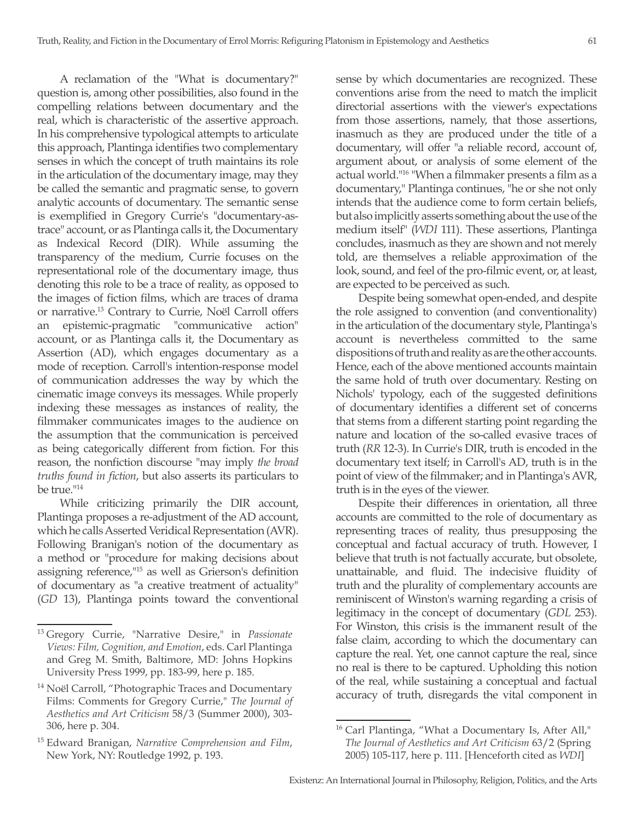A reclamation of the "What is documentary?" question is, among other possibilities, also found in the compelling relations between documentary and the real, which is characteristic of the assertive approach. In his comprehensive typological attempts to articulate this approach, Plantinga identifies two complementary senses in which the concept of truth maintains its role in the articulation of the documentary image, may they be called the semantic and pragmatic sense, to govern analytic accounts of documentary. The semantic sense is exemplified in Gregory Currie's "documentary-astrace" account, or as Plantinga calls it, the Documentary as Indexical Record (DIR). While assuming the transparency of the medium, Currie focuses on the representational role of the documentary image, thus denoting this role to be a trace of reality, as opposed to the images of fiction films, which are traces of drama or narrative.13 Contrary to Currie, Noël Carroll offers an epistemic-pragmatic "communicative action" account, or as Plantinga calls it, the Documentary as Assertion (AD), which engages documentary as a mode of reception. Carroll's intention-response model of communication addresses the way by which the cinematic image conveys its messages. While properly indexing these messages as instances of reality, the filmmaker communicates images to the audience on the assumption that the communication is perceived as being categorically different from fiction. For this reason, the nonfiction discourse "may imply *the broad truths found in fiction*, but also asserts its particulars to be true."<sup>14</sup>

While criticizing primarily the DIR account, Plantinga proposes a re-adjustment of the AD account, which he calls Asserted Veridical Representation (AVR). Following Branigan's notion of the documentary as a method or "procedure for making decisions about assigning reference,"15 as well as Grierson's definition of documentary as "a creative treatment of actuality" (*GD* 13), Plantinga points toward the conventional sense by which documentaries are recognized. These conventions arise from the need to match the implicit directorial assertions with the viewer's expectations from those assertions, namely, that those assertions, inasmuch as they are produced under the title of a documentary, will offer "a reliable record, account of, argument about, or analysis of some element of the actual world."16 "When a filmmaker presents a film as a documentary," Plantinga continues, "he or she not only intends that the audience come to form certain beliefs, but also implicitly asserts something about the use of the medium itself" (*WDI* 111). These assertions, Plantinga concludes, inasmuch as they are shown and not merely told, are themselves a reliable approximation of the look, sound, and feel of the pro-filmic event, or, at least, are expected to be perceived as such.

Despite being somewhat open-ended, and despite the role assigned to convention (and conventionality) in the articulation of the documentary style, Plantinga's account is nevertheless committed to the same dispositions of truth and reality as are the other accounts. Hence, each of the above mentioned accounts maintain the same hold of truth over documentary. Resting on Nichols' typology, each of the suggested definitions of documentary identifies a different set of concerns that stems from a different starting point regarding the nature and location of the so-called evasive traces of truth (*RR* 12-3). In Currie's DIR, truth is encoded in the documentary text itself; in Carroll's AD, truth is in the point of view of the filmmaker; and in Plantinga's AVR, truth is in the eyes of the viewer.

Despite their differences in orientation, all three accounts are committed to the role of documentary as representing traces of reality, thus presupposing the conceptual and factual accuracy of truth. However, I believe that truth is not factually accurate, but obsolete, unattainable, and fluid. The indecisive fluidity of truth and the plurality of complementary accounts are reminiscent of Winston's warning regarding a crisis of legitimacy in the concept of documentary (*GDL* 253). For Winston, this crisis is the immanent result of the false claim, according to which the documentary can capture the real. Yet, one cannot capture the real, since no real is there to be captured. Upholding this notion of the real, while sustaining a conceptual and factual accuracy of truth, disregards the vital component in

<sup>13</sup> Gregory Currie, "Narrative Desire," in *Passionate Views: Film, Cognition, and Emotion*, eds. Carl Plantinga and Greg M. Smith, Baltimore, MD: Johns Hopkins University Press 1999, pp. 183-99, here p. 185.

<sup>&</sup>lt;sup>14</sup> Noël Carroll, "Photographic Traces and Documentary Films: Comments for Gregory Currie," *The Journal of Aesthetics and Art Criticism* 58/3 (Summer 2000), 303- 306, here p. 304.

<sup>15</sup> Edward Branigan, *Narrative Comprehension and Film*, New York, NY: Routledge 1992, p. 193.

<sup>&</sup>lt;sup>16</sup> Carl Plantinga, "What a Documentary Is, After All," *The Journal of Aesthetics and Art Criticism* 63/2 (Spring 2005) 105-117, here p. 111. [Henceforth cited as *WDI*]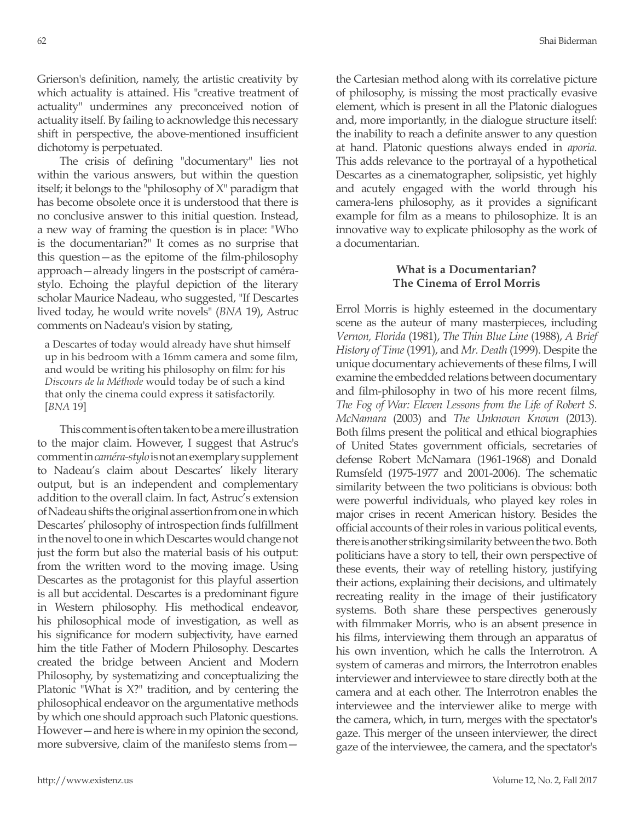Grierson's definition, namely, the artistic creativity by which actuality is attained. His "creative treatment of actuality" undermines any preconceived notion of actuality itself. By failing to acknowledge this necessary shift in perspective, the above-mentioned insufficient dichotomy is perpetuated.

The crisis of defining "documentary" lies not within the various answers, but within the question itself; it belongs to the "philosophy of X" paradigm that has become obsolete once it is understood that there is no conclusive answer to this initial question. Instead, a new way of framing the question is in place: "Who is the documentarian?" It comes as no surprise that this question—as the epitome of the film-philosophy approach—already lingers in the postscript of camérastylo. Echoing the playful depiction of the literary scholar Maurice Nadeau, who suggested, "If Descartes lived today, he would write novels" (*BNA* 19), Astruc comments on Nadeau's vision by stating,

a Descartes of today would already have shut himself up in his bedroom with a 16mm camera and some film, and would be writing his philosophy on film: for his *Discours de la Méthode* would today be of such a kind that only the cinema could express it satisfactorily. [*BNA* 19]

This comment is often taken to be a mere illustration to the major claim. However, I suggest that Astruc's comment in *caméra-stylo* is not an exemplary supplement to Nadeau's claim about Descartes' likely literary output, but is an independent and complementary addition to the overall claim. In fact, Astruc's extension of Nadeau shifts the original assertion from one in which Descartes' philosophy of introspection finds fulfillment in the novel to one in which Descartes would change not just the form but also the material basis of his output: from the written word to the moving image. Using Descartes as the protagonist for this playful assertion is all but accidental. Descartes is a predominant figure in Western philosophy. His methodical endeavor, his philosophical mode of investigation, as well as his significance for modern subjectivity, have earned him the title Father of Modern Philosophy. Descartes created the bridge between Ancient and Modern Philosophy, by systematizing and conceptualizing the Platonic "What is X?" tradition, and by centering the philosophical endeavor on the argumentative methods by which one should approach such Platonic questions. However—and here is where in my opinion the second, more subversive, claim of the manifesto stems fromthe Cartesian method along with its correlative picture of philosophy, is missing the most practically evasive element, which is present in all the Platonic dialogues and, more importantly, in the dialogue structure itself: the inability to reach a definite answer to any question at hand. Platonic questions always ended in *aporia*. This adds relevance to the portrayal of a hypothetical Descartes as a cinematographer, solipsistic, yet highly and acutely engaged with the world through his camera-lens philosophy, as it provides a significant example for film as a means to philosophize. It is an innovative way to explicate philosophy as the work of a documentarian.

## **What is a Documentarian? The Cinema of Errol Morris**

Errol Morris is highly esteemed in the documentary scene as the auteur of many masterpieces, including *Vernon, Florida* (1981), *The Thin Blue Line* (1988), *A Brief History of Time* (1991), and *Mr. Death* (1999). Despite the unique documentary achievements of these films, I will examine the embedded relations between documentary and film-philosophy in two of his more recent films, *The Fog of War: Eleven Lessons from the Life of Robert S. McNamara* (2003) and *The Unknown Known* (2013). Both films present the political and ethical biographies of United States government officials, secretaries of defense Robert McNamara (1961-1968) and Donald Rumsfeld (1975-1977 and 2001-2006). The schematic similarity between the two politicians is obvious: both were powerful individuals, who played key roles in major crises in recent American history. Besides the official accounts of their roles in various political events, there is another striking similarity between the two. Both politicians have a story to tell, their own perspective of these events, their way of retelling history, justifying their actions, explaining their decisions, and ultimately recreating reality in the image of their justificatory systems. Both share these perspectives generously with filmmaker Morris, who is an absent presence in his films, interviewing them through an apparatus of his own invention, which he calls the Interrotron. A system of cameras and mirrors, the Interrotron enables interviewer and interviewee to stare directly both at the camera and at each other. The Interrotron enables the interviewee and the interviewer alike to merge with the camera, which, in turn, merges with the spectator's gaze. This merger of the unseen interviewer, the direct gaze of the interviewee, the camera, and the spectator's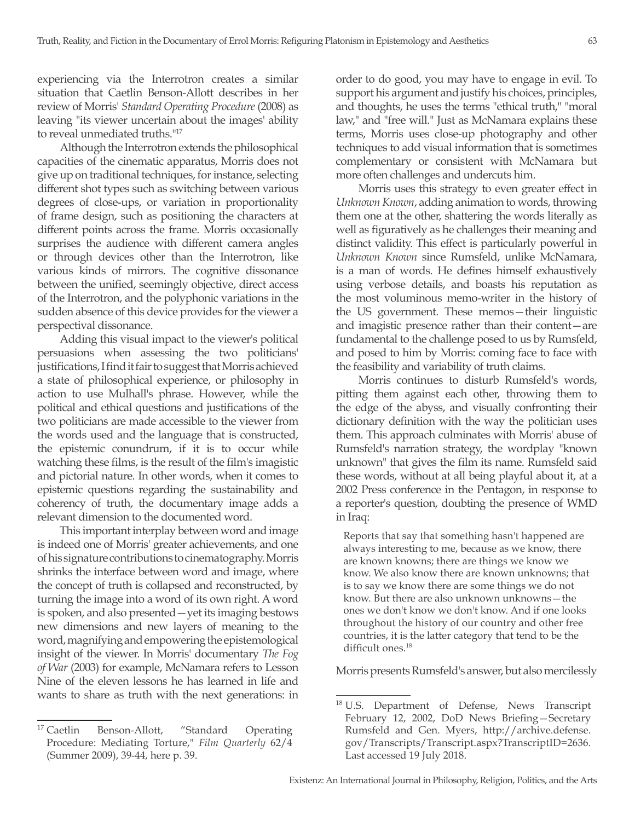experiencing via the Interrotron creates a similar situation that Caetlin Benson-Allott describes in her review of Morris' *Standard Operating Procedure* (2008) as leaving "its viewer uncertain about the images' ability to reveal unmediated truths.<sup>"17</sup>

Although the Interrotron extends the philosophical capacities of the cinematic apparatus, Morris does not give up on traditional techniques, for instance, selecting different shot types such as switching between various degrees of close-ups, or variation in proportionality of frame design, such as positioning the characters at different points across the frame. Morris occasionally surprises the audience with different camera angles or through devices other than the Interrotron, like various kinds of mirrors. The cognitive dissonance between the unified, seemingly objective, direct access of the Interrotron, and the polyphonic variations in the sudden absence of this device provides for the viewer a perspectival dissonance.

Adding this visual impact to the viewer's political persuasions when assessing the two politicians' justifications, I find it fair to suggest that Morris achieved a state of philosophical experience, or philosophy in action to use Mulhall's phrase. However, while the political and ethical questions and justifications of the two politicians are made accessible to the viewer from the words used and the language that is constructed, the epistemic conundrum, if it is to occur while watching these films, is the result of the film's imagistic and pictorial nature. In other words, when it comes to epistemic questions regarding the sustainability and coherency of truth, the documentary image adds a relevant dimension to the documented word.

This important interplay between word and image is indeed one of Morris' greater achievements, and one of his signature contributions to cinematography. Morris shrinks the interface between word and image, where the concept of truth is collapsed and reconstructed, by turning the image into a word of its own right. A word is spoken, and also presented—yet its imaging bestows new dimensions and new layers of meaning to the word, magnifying and empowering the epistemological insight of the viewer. In Morris' documentary *The Fog of War* (2003) for example, McNamara refers to Lesson Nine of the eleven lessons he has learned in life and wants to share as truth with the next generations: in order to do good, you may have to engage in evil. To support his argument and justify his choices, principles, and thoughts, he uses the terms "ethical truth," "moral law," and "free will." Just as McNamara explains these terms, Morris uses close-up photography and other techniques to add visual information that is sometimes complementary or consistent with McNamara but more often challenges and undercuts him.

Morris uses this strategy to even greater effect in *Unknown Known*, adding animation to words, throwing them one at the other, shattering the words literally as well as figuratively as he challenges their meaning and distinct validity. This effect is particularly powerful in *Unknown Known* since Rumsfeld, unlike McNamara, is a man of words. He defines himself exhaustively using verbose details, and boasts his reputation as the most voluminous memo-writer in the history of the US government. These memos—their linguistic and imagistic presence rather than their content—are fundamental to the challenge posed to us by Rumsfeld, and posed to him by Morris: coming face to face with the feasibility and variability of truth claims.

Morris continues to disturb Rumsfeld's words, pitting them against each other, throwing them to the edge of the abyss, and visually confronting their dictionary definition with the way the politician uses them. This approach culminates with Morris' abuse of Rumsfeld's narration strategy, the wordplay "known unknown" that gives the film its name. Rumsfeld said these words, without at all being playful about it, at a 2002 Press conference in the Pentagon, in response to a reporter's question, doubting the presence of WMD in Iraq:

Reports that say that something hasn't happened are always interesting to me, because as we know, there are known knowns; there are things we know we know. We also know there are known unknowns; that is to say we know there are some things we do not know. But there are also unknown unknowns—the ones we don't know we don't know. And if one looks throughout the history of our country and other free countries, it is the latter category that tend to be the difficult ones.<sup>18</sup>

Morris presents Rumsfeld's answer, but also mercilessly

<sup>&</sup>lt;sup>17</sup> Caetlin Benson-Allott, "Standard Operating Procedure: Mediating Torture," *Film Quarterly* 62/4 (Summer 2009), 39-44, here p. 39.

<sup>&</sup>lt;sup>18</sup> U.S. Department of Defense, News Transcript February 12, 2002, DoD News Briefing—Secretary Rumsfeld and Gen. Myers, http://archive.defense. gov/Transcripts/Transcript.aspx?TranscriptID=2636. Last accessed 19 July 2018.